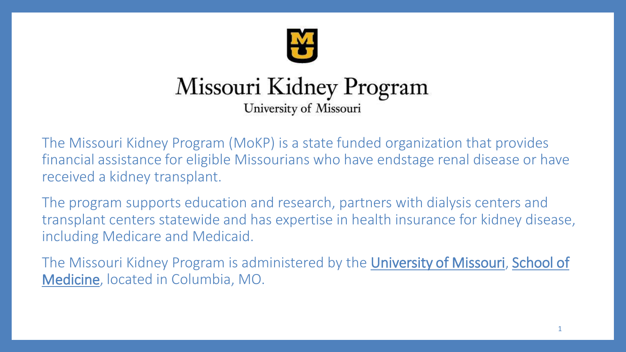

#### Missouri Kidney Program University of Missouri

The Missouri Kidney Program (MoKP) is a state funded organization that provides financial assistance for eligible Missourians who have endstage renal disease or have received a kidney transplant.

The program supports education and research, partners with dialysis centers and transplant centers statewide and has expertise in health insurance for kidney disease, including Medicare and Medicaid.

[The Missouri Kidney Program is administered by the](https://medicine.missouri.edu/) [University of Missouri,](http://www.muhealth.org/) School of Medicine, located in Columbia, MO.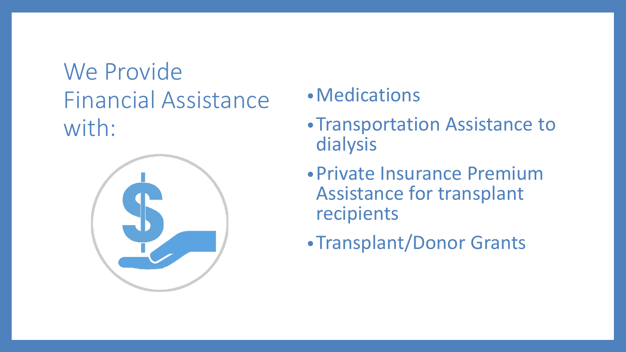## We Provide Financial Assistance with:



#### •Medications

- •Transportation Assistance to dialysis
- •Private Insurance Premium Assistance for transplant recipients
- •Transplant/Donor Grants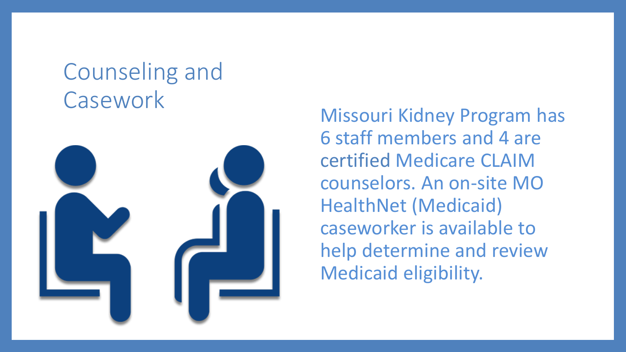# Counseling and



Casework Missouri Kidney Program has 6 staff members and 4 are certified Medicare CLAIM counselors. An on-site MO HealthNet (Medicaid) caseworker is available to help determine and review Medicaid eligibility.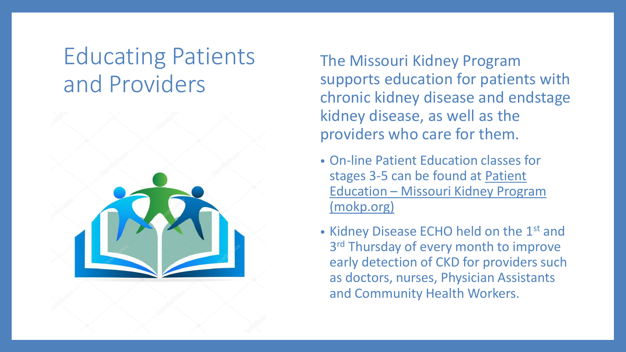#### Educating Patients and Providers



The Missouri Kidney Program supports education for patients with chronic kidney disease and endstage kidney disease, as well as the providers who care for them.

- On-line Patient Education classes for [stages 3-5 can be found at Patient](https://mokp.org/education/patient-education/)  Education – Missouri Kidney Program (mokp.org)
- Kidney Disease ECHO held on the 1<sup>st</sup> and 3<sup>rd</sup> Thursday of every month to improve early detection of CKD for providers such as doctors, nurses, Physician Assistants and Community Health Workers.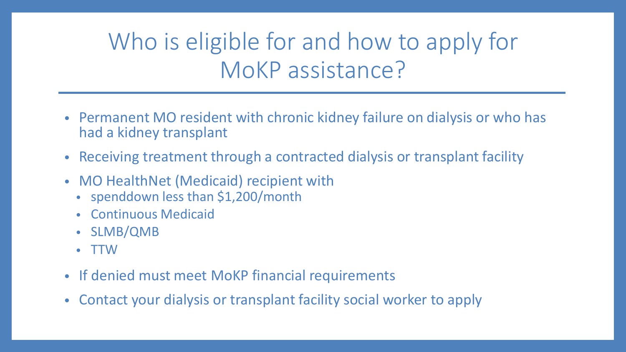# Who is eligible for and how to apply for MoKP assistance?

- Permanent MO resident with chronic kidney failure on dialysis or who has had a kidney transplant
- Receiving treatment through a contracted dialysis or transplant facility
- MO HealthNet (Medicaid) recipient with
	- spenddown less than \$1,200/month
	- Continuous Medicaid
	- SLMB/QMB
	- TTW
- If denied must meet MoKP financial requirements
- Contact your dialysis or transplant facility social worker to apply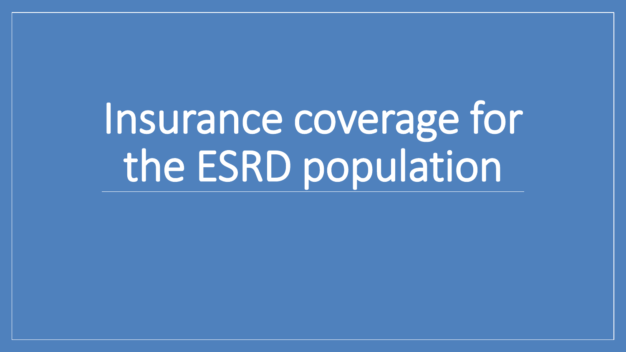Insurance coverage for the ESRD population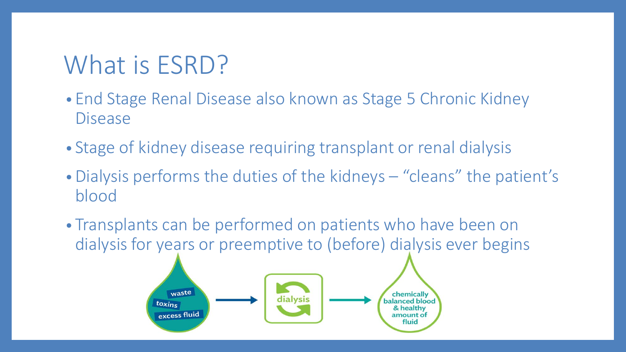# What is ESRD?

- End Stage Renal Disease also known as Stage 5 Chronic Kidney Disease
- Stage of kidney disease requiring transplant or renal dialysis
- Dialysis performs the duties of the kidneys "cleans" the patient's blood
- Transplants can be performed on patients who have been on dialysis for years or preemptive to (before) dialysis ever begins

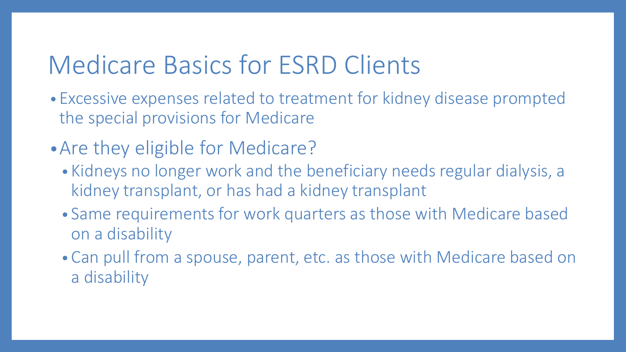# Medicare Basics for ESRD Clients

- Excessive expenses related to treatment for kidney disease prompted the special provisions for Medicare
- •Are they eligible for Medicare?
	- Kidneys no longer work and the beneficiary needs regular dialysis, a kidney transplant, or has had a kidney transplant
	- Same requirements for work quarters as those with Medicare based on a disability
	- Can pull from a spouse, parent, etc. as those with Medicare based on a disability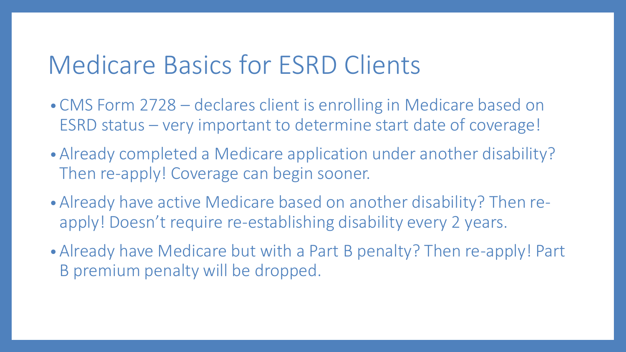## Medicare Basics for ESRD Clients

- CMS Form 2728 declares client is enrolling in Medicare based on ESRD status – very important to determine start date of coverage!
- Already completed a Medicare application under another disability? Then re-apply! Coverage can begin sooner.
- Already have active Medicare based on another disability? Then reapply! Doesn't require re-establishing disability every 2 years.
- Already have Medicare but with a Part B penalty? Then re-apply! Part B premium penalty will be dropped.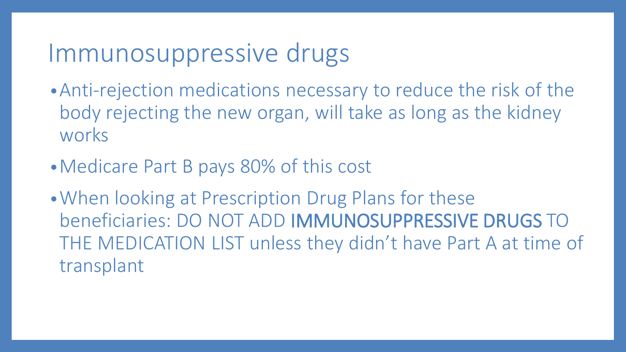#### Immunosuppressive drugs

- •Anti-rejection medications necessary to reduce the risk of the body rejecting the new organ, will take as long as the kidney works
- •Medicare Part B pays 80% of this cost
- •When looking at Prescription Drug Plans for these beneficiaries: DO NOT ADD IMMUNOSUPPRESSIVE DRUGS TO THE MEDICATION LIST unless they didn't have Part A at time of transplant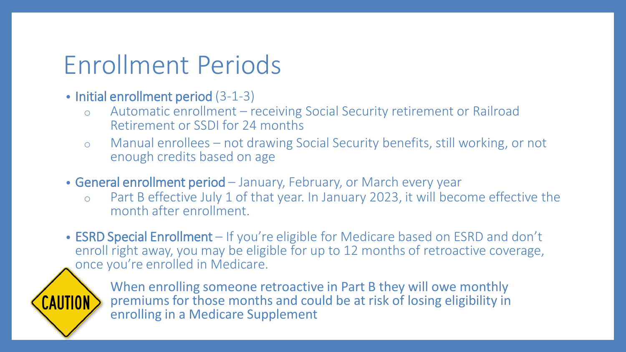# Enrollment Periods

- Initial enrollment period (3-1-3)
	- o Automatic enrollment receiving Social Security retirement or Railroad Retirement or SSDI for 24 months
	- o Manual enrollees not drawing Social Security benefits, still working, or not enough credits based on age
- General enrollment period January, February, or March every year
	- o Part B effective July 1 of that year. In January 2023, it will become effective the month after enrollment.
- ESRD Special Enrollment If you're eligible for Medicare based on ESRD and don't enroll right away, you may be eligible for up to 12 months of retroactive coverage, once you're enrolled in Medicare.



When enrolling someone retroactive in Part B they will owe monthly premiums for those months and could be at risk of losing eligibility in enrolling in a Medicare Supplement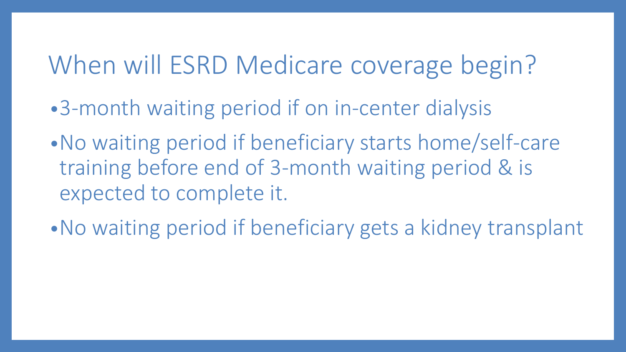# When will ESRD Medicare coverage begin?

- •3-month waiting period if on in-center dialysis
- •No waiting period if beneficiary starts home/self-care training before end of 3-month waiting period & is expected to complete it.
- •No waiting period if beneficiary gets a kidney transplant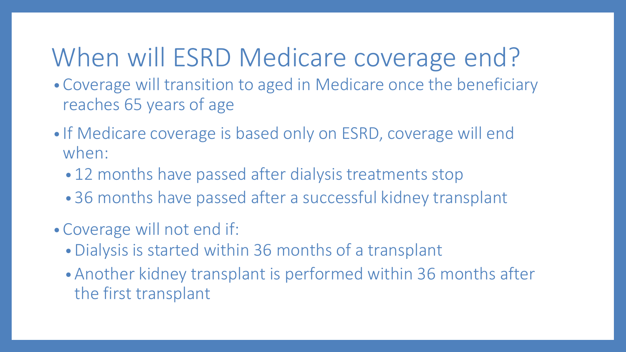# When will ESRD Medicare coverage end?

- Coverage will transition to aged in Medicare once the beneficiary reaches 65 years of age
- If Medicare coverage is based only on ESRD, coverage will end when:
	- 12 months have passed after dialysis treatments stop
	- 36 months have passed after a successful kidney transplant
- Coverage will not end if:
	- Dialysis is started within 36 months of a transplant
	- Another kidney transplant is performed within 36 months after the first transplant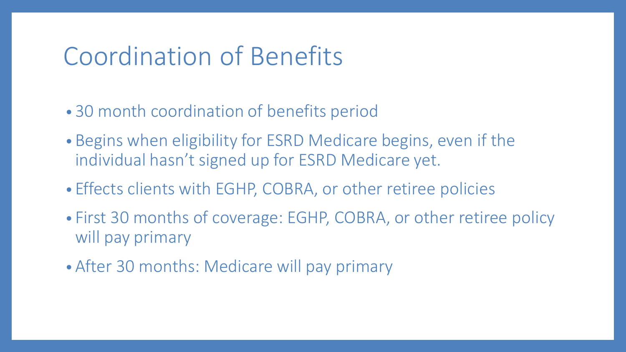## Coordination of Benefits

- 30 month coordination of benefits period
- Begins when eligibility for ESRD Medicare begins, even if the individual hasn't signed up for ESRD Medicare yet.
- Effects clients with EGHP, COBRA, or other retiree policies
- First 30 months of coverage: EGHP, COBRA, or other retiree policy will pay primary
- After 30 months: Medicare will pay primary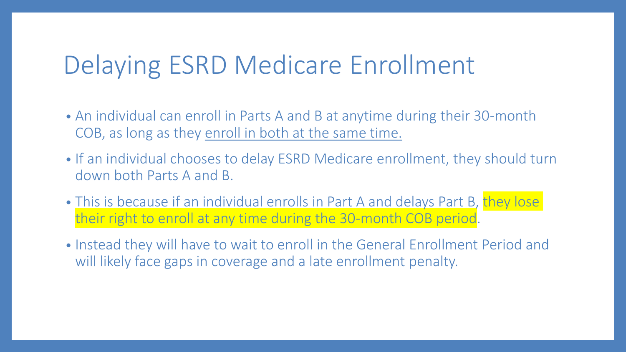## Delaying ESRD Medicare Enrollment

- An individual can enroll in Parts A and B at anytime during their 30-month COB, as long as they enroll in both at the same time.
- If an individual chooses to delay ESRD Medicare enrollment, they should turn down both Parts A and B.
- This is because if an individual enrolls in Part A and delays Part B, they lose their right to enroll at any time during the 30-month COB period.
- Instead they will have to wait to enroll in the General Enrollment Period and will likely face gaps in coverage and a late enrollment penalty.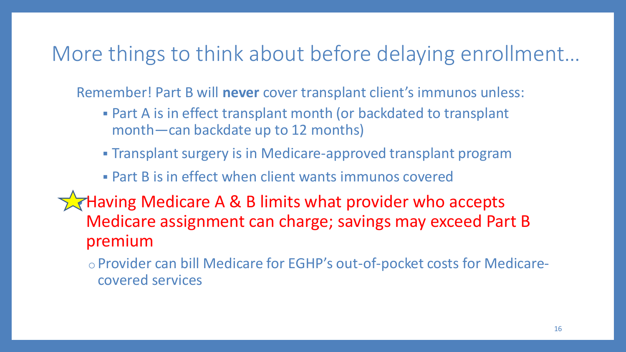#### More things to think about before delaying enrollment…

Remember! Part B will **never** cover transplant client's immunos unless:

- **Part A is in effect transplant month (or backdated to transplant** month—can backdate up to 12 months)
- **Transplant surgery is in Medicare-approved transplant program**

#### **• Part B is in effect when client wants immunos covered**

**Having Medicare A & B limits what provider who accepts** Medicare assignment can charge; savings may exceed Part B premium

oProvider can bill Medicare for EGHP's out-of-pocket costs for Medicarecovered services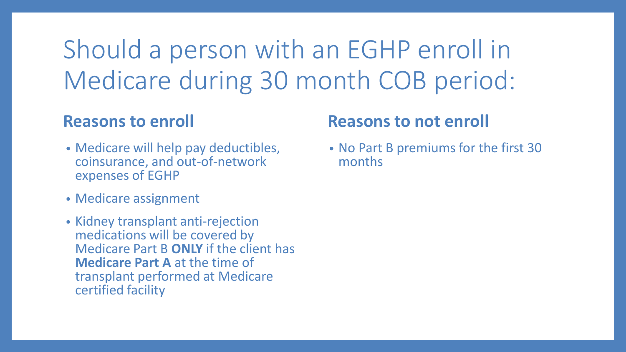# Should a person with an EGHP enroll in Medicare during 30 month COB period:

#### **Reasons to enroll**

- Medicare will help pay deductibles, coinsurance, and out-of-network expenses of EGHP
- Medicare assignment
- Kidney transplant anti-rejection medications will be covered by Medicare Part B **ONLY** if the client has **Medicare Part A** at the time of transplant performed at Medicare certified facility

#### **Reasons to not enroll**

• No Part B premiums for the first 30 months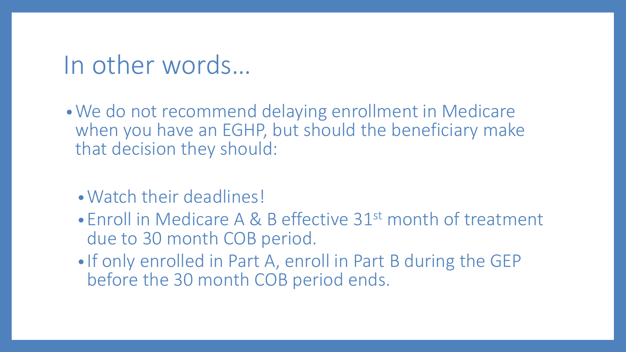#### In other words…

•We do not recommend delaying enrollment in Medicare when you have an EGHP, but should the beneficiary make that decision they should:

- •Watch their deadlines!
- Enroll in Medicare A & B effective 31<sup>st</sup> month of treatment due to 30 month COB period.
- If only enrolled in Part A, enroll in Part B during the GEP before the 30 month COB period ends.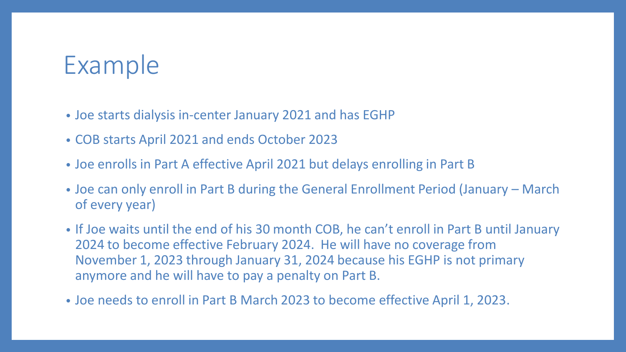## Example

- Joe starts dialysis in-center January 2021 and has EGHP
- COB starts April 2021 and ends October 2023
- Joe enrolls in Part A effective April 2021 but delays enrolling in Part B
- Joe can only enroll in Part B during the General Enrollment Period (January March of every year)
- If Joe waits until the end of his 30 month COB, he can't enroll in Part B until January 2024 to become effective February 2024. He will have no coverage from November 1, 2023 through January 31, 2024 because his EGHP is not primary anymore and he will have to pay a penalty on Part B.
- Joe needs to enroll in Part B March 2023 to become effective April 1, 2023.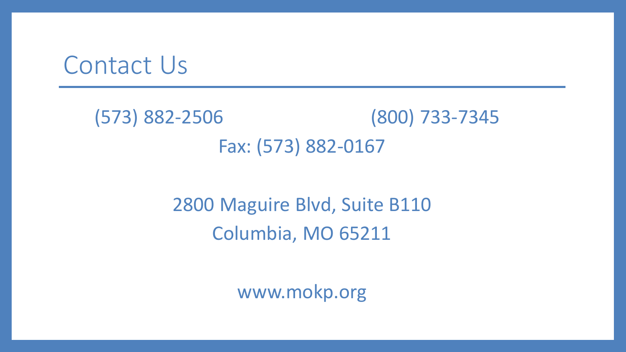#### Contact Us

(573) 882-2506 (800) 733-7345 Fax: (573) 882-0167

> 2800 Maguire Blvd, Suite B110 Columbia, MO 65211

> > www.mokp.org